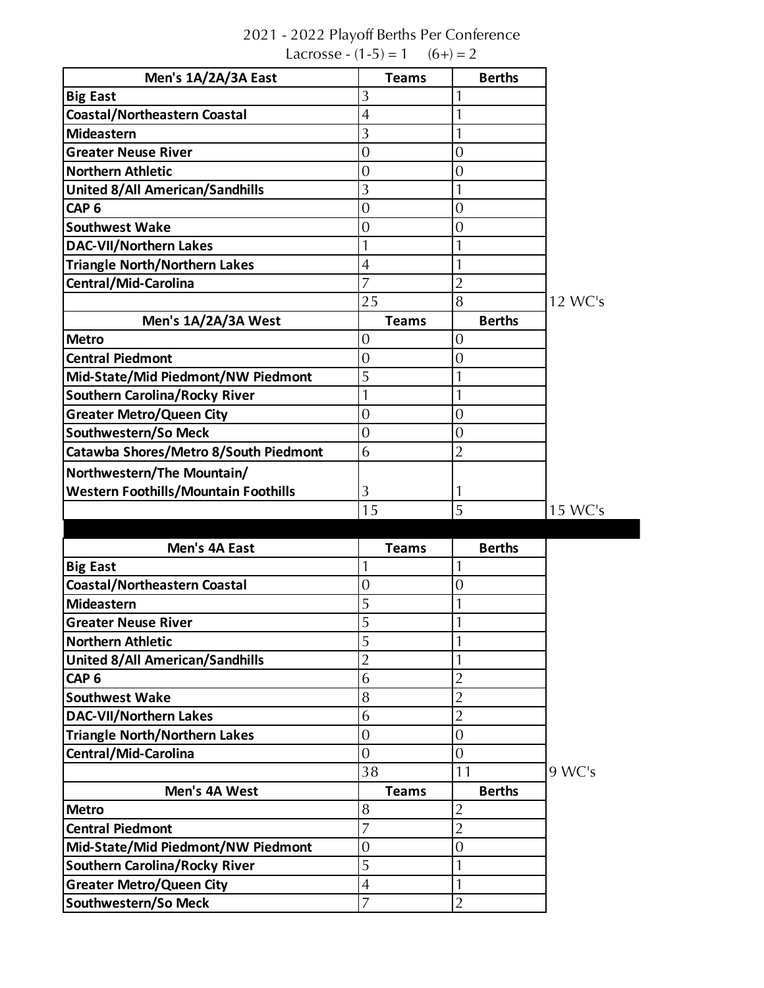| Men's 1A/2A/3A East                                                     | <b>Teams</b>        | <b>Berths</b>                    |         |
|-------------------------------------------------------------------------|---------------------|----------------------------------|---------|
| <b>Big East</b>                                                         | 3                   | $\mathbf{1}$                     |         |
| <b>Coastal/Northeastern Coastal</b>                                     | $\overline{4}$      | 1                                |         |
| Mideastern                                                              | 3                   | $\mathbf{1}$                     |         |
| <b>Greater Neuse River</b>                                              | $\overline{0}$      | $\overline{0}$                   |         |
| <b>Northern Athletic</b>                                                | $\overline{0}$      | $\mathbf{0}$                     |         |
| <b>United 8/All American/Sandhills</b>                                  | 3                   | $\mathbf{1}$                     |         |
| CAP <sub>6</sub>                                                        | $\overline{0}$      | $\mathbf{0}$                     |         |
| <b>Southwest Wake</b>                                                   | $\overline{0}$      | $\overline{0}$                   |         |
| <b>DAC-VII/Northern Lakes</b>                                           | 1                   | $\mathbf{1}$                     |         |
| <b>Triangle North/Northern Lakes</b>                                    | $\overline{4}$      | $\mathbf{1}$                     |         |
| Central/Mid-Carolina                                                    | $\overline{7}$      | $\overline{2}$                   |         |
|                                                                         | 25                  | 8                                | 12 WC's |
| Men's 1A/2A/3A West                                                     | <b>Teams</b>        | <b>Berths</b>                    |         |
| <b>Metro</b>                                                            | $\overline{0}$      | $\overline{0}$                   |         |
| <b>Central Piedmont</b>                                                 | $\overline{0}$      | $\mathbf{0}$                     |         |
| Mid-State/Mid Piedmont/NW Piedmont                                      | 5                   | $\mathbf{1}$                     |         |
| <b>Southern Carolina/Rocky River</b>                                    | $\mathbf{1}$        | $\mathbf{1}$                     |         |
| <b>Greater Metro/Queen City</b>                                         | $\overline{0}$      | $\overline{0}$                   |         |
| Southwestern/So Meck                                                    | $\overline{0}$      | $\mathbf{0}$                     |         |
| Catawba Shores/Metro 8/South Piedmont                                   | 6                   | $\overline{2}$                   |         |
|                                                                         |                     |                                  |         |
|                                                                         |                     |                                  |         |
| Northwestern/The Mountain/                                              |                     |                                  |         |
| <b>Western Foothills/Mountain Foothills</b>                             | 3                   | 1                                |         |
|                                                                         | 15                  | 5                                | 15 WC's |
| Men's 4A East                                                           | <b>Teams</b>        | <b>Berths</b>                    |         |
|                                                                         | $\mathbf{1}$        | $\mathbf{1}$                     |         |
| <b>Big East</b><br><b>Coastal/Northeastern Coastal</b>                  | $\mathbf{0}$        | $\overline{0}$                   |         |
| <b>Mideastern</b>                                                       | 5                   | 1                                |         |
| <b>Greater Neuse River</b>                                              | 5                   |                                  |         |
| <b>Northern Athletic</b>                                                | 5                   | 1                                |         |
|                                                                         | $\overline{2}$      | $\mathbf{1}$                     |         |
| <b>United 8/All American/Sandhills</b><br>CAP <sub>6</sub>              | 6                   | $\overline{2}$                   |         |
| <b>Southwest Wake</b>                                                   | 8                   | $\overline{2}$                   |         |
|                                                                         |                     |                                  |         |
| <b>DAC-VII/Northern Lakes</b>                                           | 6<br>$\overline{0}$ | $\overline{2}$<br>$\overline{0}$ |         |
| <b>Triangle North/Northern Lakes</b>                                    | $\overline{0}$      | $\overline{0}$                   |         |
| Central/Mid-Carolina                                                    | 38                  | 11                               | 9 WC's  |
| Men's 4A West                                                           | <b>Teams</b>        | <b>Berths</b>                    |         |
|                                                                         | 8                   | $\overline{2}$                   |         |
| <b>Metro</b><br><b>Central Piedmont</b>                                 | $\overline{7}$      |                                  |         |
|                                                                         |                     | $\overline{2}$                   |         |
| Mid-State/Mid Piedmont/NW Piedmont                                      | $\mathbf{0}$<br>5   | $\mathbf{0}$<br>$\mathbf{1}$     |         |
| <b>Southern Carolina/Rocky River</b><br><b>Greater Metro/Queen City</b> | $\overline{4}$      | $\mathbf{1}$                     |         |

## 2021 - 2022 Playoff Berths Per Conference Lacrosse -  $(1-5) = 1$   $(6+) = 2$